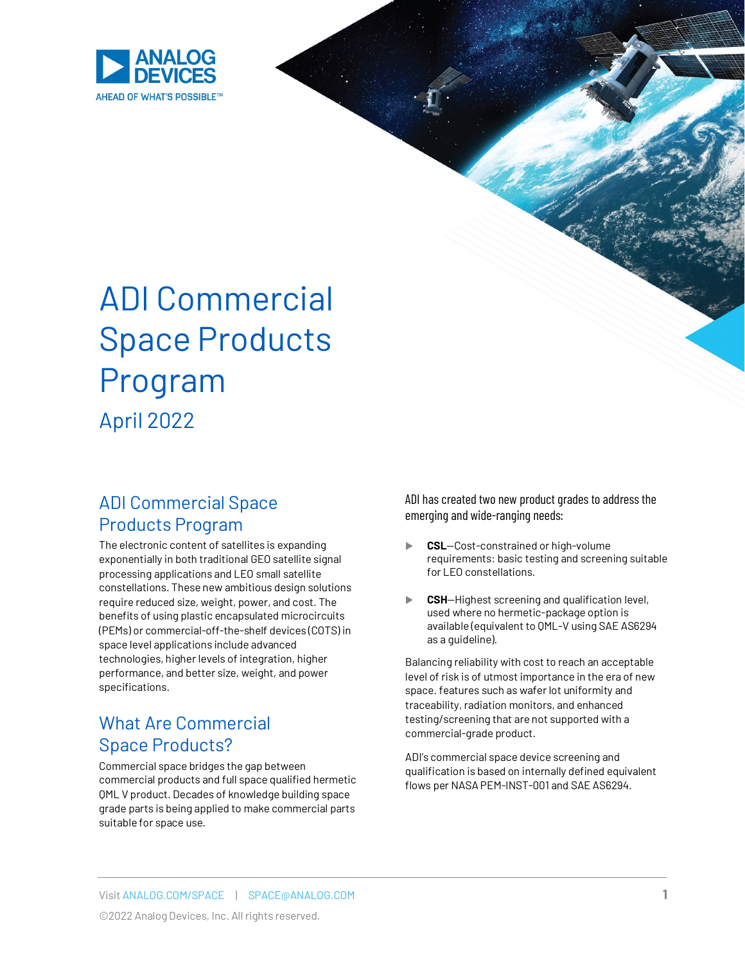

# ADI Commercial Space Products Program April 2022

## ADI Commercial Space Products Program

The electronic content of satellites is expanding exponentially in both traditional GEO satellite signal processing applications and LEO small satellite constellations. These new ambitious design solutions require reduced size, weight, power, and cost. The benefits of using plastic encapsulated microcircuits (PEMs) or commercial-off-the-shelf devices (COTS) in space level applications include advanced technologies, higher levels of integration, higher performance, and better size, weight, and power specifications.

## What Are Commercial Space Products?

Commercial space bridges the gap between commercial products and full space qualified hermetic QML V product. Decades of knowledge building space grade parts is being applied to make commercial parts suitable for space use.

ADI has created two new product grades to address the emerging and wide-ranging needs:

- **CSL**—Cost-constrained or high-volume requirements: basic testing and screening suitable for LEO constellations.
- **CSH**—Highest screening and qualification level, used where no hermetic-package option is available (equivalent to QML-V using SAE AS6294 as a guideline).

Balancing reliability with cost to reach an acceptable level of risk is of utmost importance in the era of new space. features such as wafer lot uniformity and traceability, radiation monitors, and enhanced testing/screening that are not supported with a commercial-grade product.

ADI's commercial space device screening and qualification is based on internally defined equivalent flows per NASA PEM-INST-001 and SAE AS6294.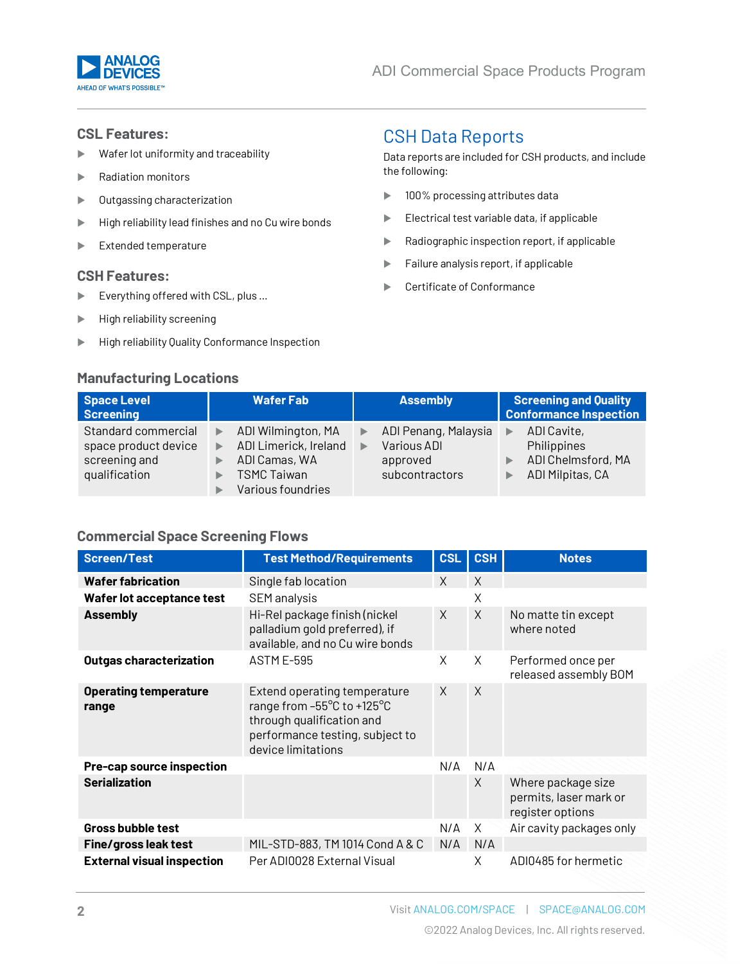

#### **CSL Features:**

- Wafer lot uniformity and traceability
- **Radiation monitors**
- Outgassing characterization
- $\blacktriangleright$  High reliability lead finishes and no Cu wire bonds
- Extended temperature

#### **CSH Features:**

- ▶ Everything offered with CSL, plus ...
- $\blacktriangleright$  High reliability screening
- **High reliability Quality Conformance Inspection**

#### **Manufacturing Locations**

# CSH Data Reports

Data reports are included for CSH products, and include the following:

- **100% processing attributes data**
- Electrical test variable data, if applicable
- Radiographic inspection report, if applicable
- $\blacktriangleright$  Failure analysis report, if applicable
- Certificate of Conformance

| <b>Space Level</b><br><b>Screening</b>                                        | <b>Wafer Fab</b>                                                                                             | <b>Assembly</b>                                                        | <b>Screening and Quality</b><br><b>Conformance Inspection</b>        |
|-------------------------------------------------------------------------------|--------------------------------------------------------------------------------------------------------------|------------------------------------------------------------------------|----------------------------------------------------------------------|
| Standard commercial<br>space product device<br>screening and<br>qualification | ADI Wilmington, MA<br>▶<br>ADI Limerick, Ireland<br>ADI Camas, WA<br><b>TSMC Taiwan</b><br>Various foundries | ADI Penang, Malaysia<br>Various ADI<br>▶<br>approved<br>subcontractors | ADI Cavite,<br>Philippines<br>ADI Chelmsford, MA<br>ADI Milpitas, CA |

#### **Commercial Space Screening Flows**

| <b>Screen/Test</b>                    | <b>Test Method/Requirements</b>                                                                                                                  | <b>CSL</b> | <b>CSH</b> | <b>Notes</b>                                                     |
|---------------------------------------|--------------------------------------------------------------------------------------------------------------------------------------------------|------------|------------|------------------------------------------------------------------|
| <b>Wafer fabrication</b>              | Single fab location                                                                                                                              | X          | X          |                                                                  |
| Wafer lot acceptance test             | <b>SEM</b> analysis                                                                                                                              |            | Χ          |                                                                  |
| <b>Assembly</b>                       | Hi-Rel package finish (nickel<br>palladium gold preferred), if<br>available, and no Cu wire bonds                                                | $\chi$     | X          | No matte tin except<br>where noted                               |
| Outgas characterization               | <b>ASTM E-595</b>                                                                                                                                | X          | X          | Performed once per<br>released assembly BOM                      |
| <b>Operating temperature</b><br>range | Extend operating temperature<br>range from -55°C to +125°C<br>through qualification and<br>performance testing, subject to<br>device limitations | $\times$   | $\times$   |                                                                  |
| Pre-cap source inspection             |                                                                                                                                                  | N/A        | N/A        |                                                                  |
| <b>Serialization</b>                  |                                                                                                                                                  |            | X          | Where package size<br>permits, laser mark or<br>register options |
| <b>Gross bubble test</b>              |                                                                                                                                                  | N/A        | X          | Air cavity packages only                                         |
| <b>Fine/gross leak test</b>           | MIL-STD-883, TM 1014 Cond A & C                                                                                                                  | N/A        | N/A        |                                                                  |
| <b>External visual inspection</b>     | Per ADI0028 External Visual                                                                                                                      |            | X          | ADI0485 for hermetic                                             |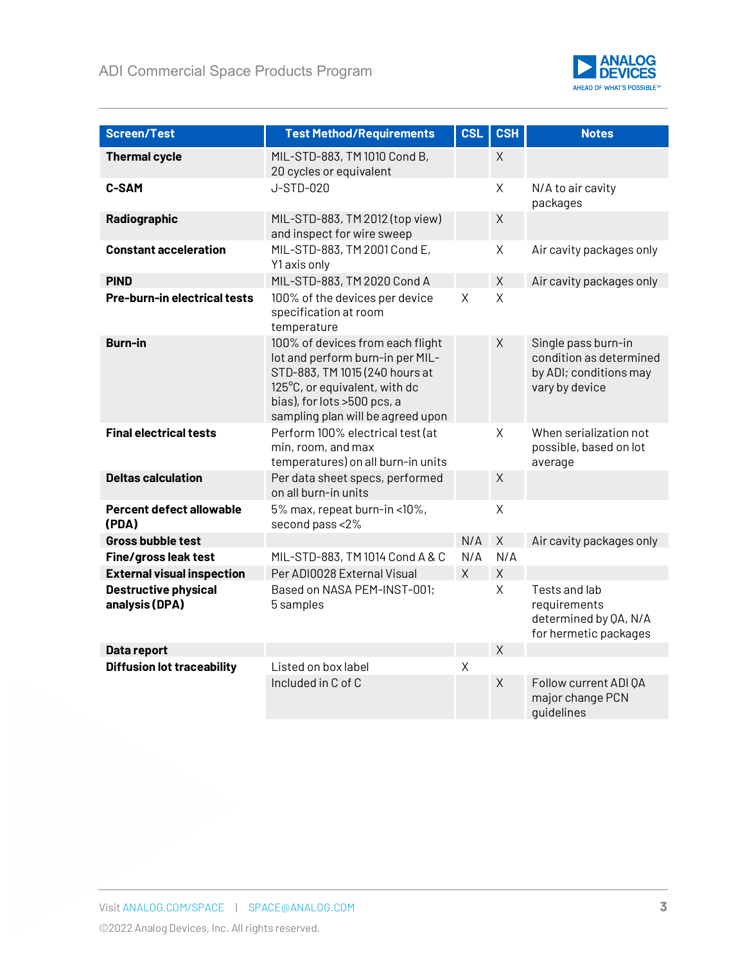

| <b>Screen/Test</b>                            | <b>Test Method/Requirements</b>                                                                                                                                                                             | <b>CSL</b> | <b>CSH</b>     | <b>Notes</b>                                                                               |
|-----------------------------------------------|-------------------------------------------------------------------------------------------------------------------------------------------------------------------------------------------------------------|------------|----------------|--------------------------------------------------------------------------------------------|
| <b>Thermal cycle</b>                          | MIL-STD-883, TM 1010 Cond B,<br>20 cycles or equivalent                                                                                                                                                     |            | $\mathsf{X}$   |                                                                                            |
| <b>C-SAM</b>                                  | J-STD-020                                                                                                                                                                                                   |            | X              | N/A to air cavity<br>packages                                                              |
| Radiographic                                  | MIL-STD-883, TM 2012 (top view)<br>and inspect for wire sweep                                                                                                                                               |            | $\mathsf X$    |                                                                                            |
| <b>Constant acceleration</b>                  | MIL-STD-883, TM 2001 Cond E,<br>Y1 axis only                                                                                                                                                                |            | X              | Air cavity packages only                                                                   |
| <b>PIND</b>                                   | MIL-STD-883, TM 2020 Cond A                                                                                                                                                                                 |            | $\mathsf{X}$   | Air cavity packages only                                                                   |
| Pre-burn-in electrical tests                  | 100% of the devices per device<br>specification at room<br>temperature                                                                                                                                      | $\sf X$    | X              |                                                                                            |
| <b>Burn-in</b>                                | 100% of devices from each flight<br>lot and perform burn-in per MIL-<br>STD-883, TM 1015 (240 hours at<br>125°C, or equivalent, with dc<br>bias), for lots >500 pcs, a<br>sampling plan will be agreed upon |            | $\sf X$        | Single pass burn-in<br>condition as determined<br>by ADI; conditions may<br>vary by device |
| <b>Final electrical tests</b>                 | Perform 100% electrical test (at<br>min, room, and max<br>temperatures) on all burn-in units                                                                                                                |            | X              | When serialization not<br>possible, based on lot<br>average                                |
| <b>Deltas calculation</b>                     | Per data sheet specs, performed<br>on all burn-in units                                                                                                                                                     |            | $\sf X$        |                                                                                            |
| <b>Percent defect allowable</b><br>(PDA)      | 5% max, repeat burn-in <10%,<br>second pass <2%                                                                                                                                                             |            | $\sf X$        |                                                                                            |
| <b>Gross bubble test</b>                      |                                                                                                                                                                                                             | N/A        | X              | Air cavity packages only                                                                   |
| Fine/gross leak test                          | MIL-STD-883, TM 1014 Cond A & C                                                                                                                                                                             | N/A        | N/A            |                                                                                            |
| <b>External visual inspection</b>             | Per ADI0028 External Visual                                                                                                                                                                                 | $\times$   | $\sf X$        |                                                                                            |
| <b>Destructive physical</b><br>analysis (DPA) | Based on NASA PEM-INST-001;<br>5 samples                                                                                                                                                                    |            | X.             | Tests and lab<br>requirements<br>determined by QA, N/A<br>for hermetic packages            |
| Data report                                   |                                                                                                                                                                                                             |            | $\overline{X}$ |                                                                                            |
| <b>Diffusion lot traceability</b>             | Listed on box label                                                                                                                                                                                         | $\sf X$    |                |                                                                                            |
|                                               | Included in C of C                                                                                                                                                                                          |            | X              | Follow current ADI QA<br>major change PCN<br>quidelines                                    |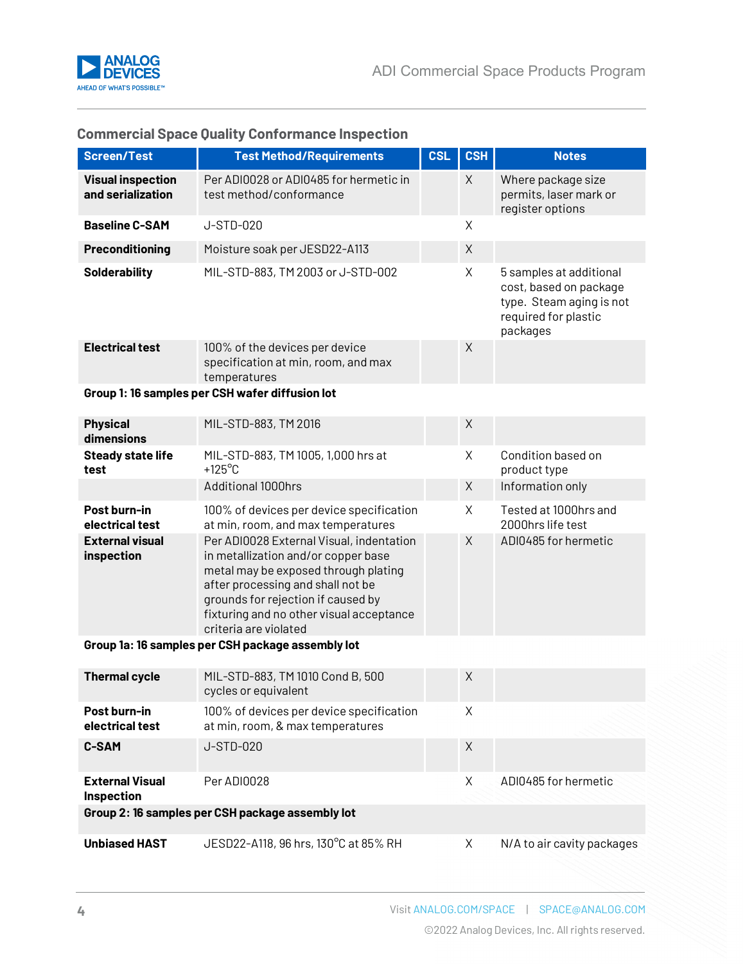

| <b>Screen/Test</b>                                | <b>Test Method/Requirements</b>                                                                                                                                                                                                                                         | <b>CSL</b> | <b>CSH</b>  | <b>Notes</b>                                                                                                      |  |  |
|---------------------------------------------------|-------------------------------------------------------------------------------------------------------------------------------------------------------------------------------------------------------------------------------------------------------------------------|------------|-------------|-------------------------------------------------------------------------------------------------------------------|--|--|
| <b>Visual inspection</b><br>and serialization     | Per ADI0028 or ADI0485 for hermetic in<br>test method/conformance                                                                                                                                                                                                       |            | X           | Where package size<br>permits, laser mark or<br>register options                                                  |  |  |
| <b>Baseline C-SAM</b>                             | J-STD-020                                                                                                                                                                                                                                                               |            | Χ           |                                                                                                                   |  |  |
| Preconditioning                                   | Moisture soak per JESD22-A113                                                                                                                                                                                                                                           |            | X           |                                                                                                                   |  |  |
| <b>Solderability</b>                              | MIL-STD-883, TM 2003 or J-STD-002                                                                                                                                                                                                                                       |            | X           | 5 samples at additional<br>cost, based on package<br>type. Steam aging is not<br>required for plastic<br>packages |  |  |
| <b>Electrical test</b>                            | 100% of the devices per device<br>specification at min, room, and max<br>temperatures                                                                                                                                                                                   |            | Χ           |                                                                                                                   |  |  |
|                                                   | Group 1: 16 samples per CSH wafer diffusion lot                                                                                                                                                                                                                         |            |             |                                                                                                                   |  |  |
| <b>Physical</b><br>dimensions                     | MIL-STD-883, TM 2016                                                                                                                                                                                                                                                    |            | $\mathsf X$ |                                                                                                                   |  |  |
| <b>Steady state life</b><br>test                  | MIL-STD-883, TM 1005, 1,000 hrs at<br>$+125^{\circ}$ C                                                                                                                                                                                                                  |            | X           | Condition based on<br>product type                                                                                |  |  |
|                                                   | Additional 1000hrs                                                                                                                                                                                                                                                      |            | $\mathsf X$ | Information only                                                                                                  |  |  |
| Post burn-in<br>electrical test                   | 100% of devices per device specification<br>at min, room, and max temperatures                                                                                                                                                                                          |            | X           | Tested at 1000hrs and<br>2000hrs life test                                                                        |  |  |
| <b>External visual</b><br>inspection              | Per ADI0028 External Visual, indentation<br>in metallization and/or copper base<br>metal may be exposed through plating<br>after processing and shall not be<br>grounds for rejection if caused by<br>fixturing and no other visual acceptance<br>criteria are violated |            | $\chi$      | ADI0485 for hermetic                                                                                              |  |  |
| Group 1a: 16 samples per CSH package assembly lot |                                                                                                                                                                                                                                                                         |            |             |                                                                                                                   |  |  |
| <b>Thermal cycle</b>                              | MIL-STD-883, TM 1010 Cond B, 500<br>cycles or equivalent                                                                                                                                                                                                                |            | X           |                                                                                                                   |  |  |
| Post burn-in<br>electrical test                   | 100% of devices per device specification<br>at min, room, & max temperatures                                                                                                                                                                                            |            | X           |                                                                                                                   |  |  |
| <b>C-SAM</b>                                      | J-STD-020                                                                                                                                                                                                                                                               |            | X           |                                                                                                                   |  |  |
| <b>External Visual</b><br>Inspection              | Per ADI0028                                                                                                                                                                                                                                                             |            | Χ           | ADI0485 for hermetic                                                                                              |  |  |
| Group 2: 16 samples per CSH package assembly lot  |                                                                                                                                                                                                                                                                         |            |             |                                                                                                                   |  |  |
| <b>Unbiased HAST</b>                              | JESD22-A118, 96 hrs, 130°C at 85% RH                                                                                                                                                                                                                                    |            | X           | N/A to air cavity packages                                                                                        |  |  |

#### **Commercial Space Quality Conformance Inspection**